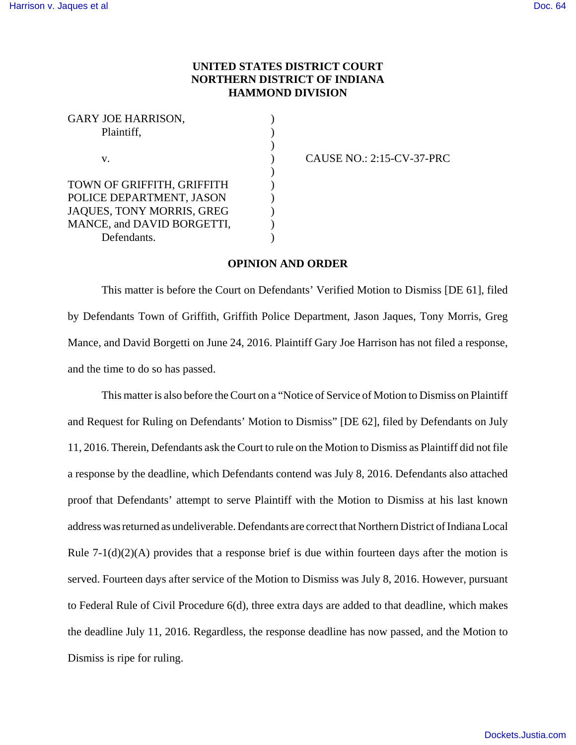## **UNITED STATES DISTRICT COURT NORTHERN DISTRICT OF INDIANA HAMMOND DIVISION**

| <b>GARY JOE HARRISON,</b>  |  |
|----------------------------|--|
| Plaintiff,<br>V.           |  |
|                            |  |
|                            |  |
|                            |  |
| TOWN OF GRIFFITH, GRIFFITH |  |
| POLICE DEPARTMENT, JASON   |  |
| JAQUES, TONY MORRIS, GREG  |  |
| MANCE, and DAVID BORGETTI, |  |
| Defendants.                |  |

CAUSE NO.: 2:15-CV-37-PRC

## **OPINION AND ORDER**

This matter is before the Court on Defendants' Verified Motion to Dismiss [DE 61], filed by Defendants Town of Griffith, Griffith Police Department, Jason Jaques, Tony Morris, Greg Mance, and David Borgetti on June 24, 2016. Plaintiff Gary Joe Harrison has not filed a response, and the time to do so has passed.

This matter is also before the Court on a "Notice of Service of Motion to Dismiss on Plaintiff and Request for Ruling on Defendants' Motion to Dismiss" [DE 62], filed by Defendants on July 11, 2016. Therein, Defendants ask the Court to rule on the Motion to Dismiss as Plaintiff did not file a response by the deadline, which Defendants contend was July 8, 2016. Defendants also attached proof that Defendants' attempt to serve Plaintiff with the Motion to Dismiss at his last known address was returned as undeliverable. Defendants are correct that Northern District of Indiana Local Rule  $7-1(d)(2)(A)$  provides that a response brief is due within fourteen days after the motion is served. Fourteen days after service of the Motion to Dismiss was July 8, 2016. However, pursuant to Federal Rule of Civil Procedure 6(d), three extra days are added to that deadline, which makes the deadline July 11, 2016. Regardless, the response deadline has now passed, and the Motion to Dismiss is ripe for ruling.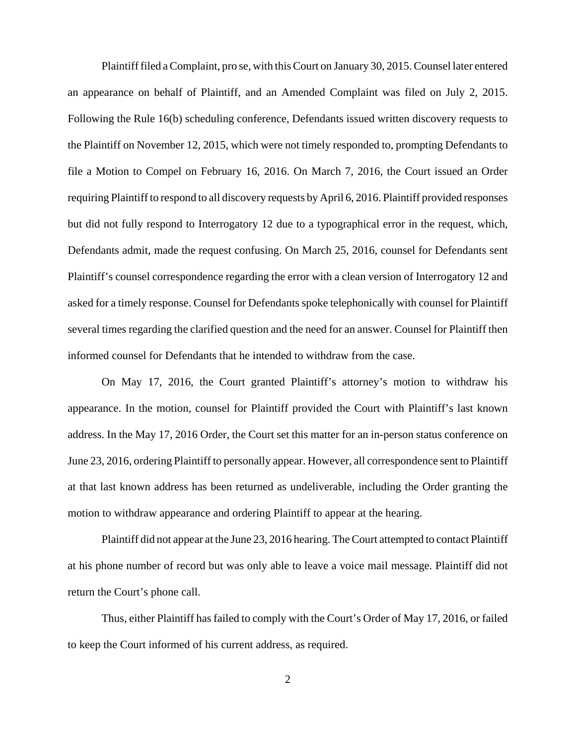Plaintiff filed a Complaint, pro se, with this Court on January 30, 2015. Counsel later entered an appearance on behalf of Plaintiff, and an Amended Complaint was filed on July 2, 2015. Following the Rule 16(b) scheduling conference, Defendants issued written discovery requests to the Plaintiff on November 12, 2015, which were not timely responded to, prompting Defendants to file a Motion to Compel on February 16, 2016. On March 7, 2016, the Court issued an Order requiring Plaintiff to respond to all discovery requests by April 6, 2016. Plaintiff provided responses but did not fully respond to Interrogatory 12 due to a typographical error in the request, which, Defendants admit, made the request confusing. On March 25, 2016, counsel for Defendants sent Plaintiff's counsel correspondence regarding the error with a clean version of Interrogatory 12 and asked for a timely response. Counsel for Defendants spoke telephonically with counsel for Plaintiff several times regarding the clarified question and the need for an answer. Counsel for Plaintiff then informed counsel for Defendants that he intended to withdraw from the case.

On May 17, 2016, the Court granted Plaintiff's attorney's motion to withdraw his appearance. In the motion, counsel for Plaintiff provided the Court with Plaintiff's last known address. In the May 17, 2016 Order, the Court set this matter for an in-person status conference on June 23, 2016, ordering Plaintiff to personally appear. However, all correspondence sent to Plaintiff at that last known address has been returned as undeliverable, including the Order granting the motion to withdraw appearance and ordering Plaintiff to appear at the hearing.

Plaintiff did not appear at the June 23, 2016 hearing. The Court attempted to contact Plaintiff at his phone number of record but was only able to leave a voice mail message. Plaintiff did not return the Court's phone call.

Thus, either Plaintiff has failed to comply with the Court's Order of May 17, 2016, or failed to keep the Court informed of his current address, as required.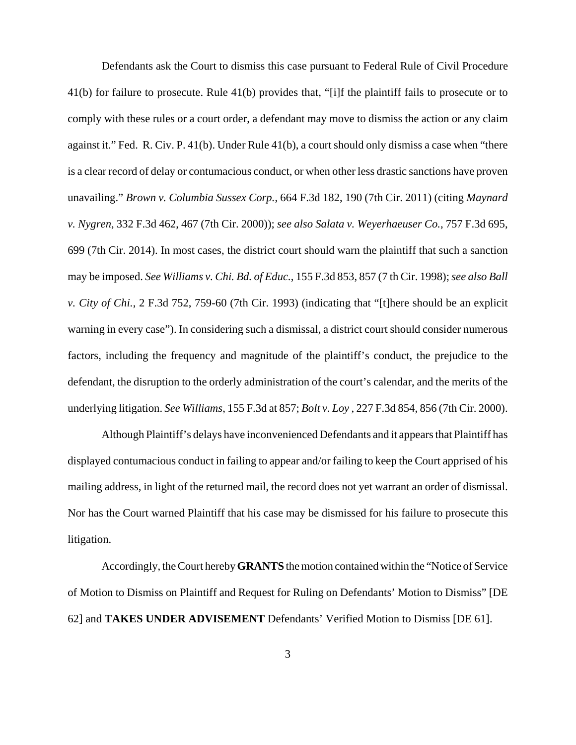Defendants ask the Court to dismiss this case pursuant to Federal Rule of Civil Procedure 41(b) for failure to prosecute. Rule 41(b) provides that, "[i]f the plaintiff fails to prosecute or to comply with these rules or a court order, a defendant may move to dismiss the action or any claim against it." Fed. R. Civ. P. 41(b). Under Rule 41(b), a court should only dismiss a case when "there is a clear record of delay or contumacious conduct, or when other less drastic sanctions have proven unavailing." *Brown v. Columbia Sussex Corp.*, 664 F.3d 182, 190 (7th Cir. 2011) (citing *Maynard v. Nygren*, 332 F.3d 462, 467 (7th Cir. 2000)); *see also Salata v. Weyerhaeuser Co.*, 757 F.3d 695, 699 (7th Cir. 2014). In most cases, the district court should warn the plaintiff that such a sanction may be imposed. *See Williams v. Chi. Bd. of Educ.*, 155 F.3d 853, 857 (7 th Cir. 1998); *see also Ball v. City of Chi.*, 2 F.3d 752, 759-60 (7th Cir. 1993) (indicating that "[t]here should be an explicit warning in every case"). In considering such a dismissal, a district court should consider numerous factors, including the frequency and magnitude of the plaintiff's conduct, the prejudice to the defendant, the disruption to the orderly administration of the court's calendar, and the merits of the underlying litigation. *See Williams*, 155 F.3d at 857; *Bolt v. Loy* , 227 F.3d 854, 856 (7th Cir. 2000).

Although Plaintiff's delays have inconvenienced Defendants and it appears that Plaintiff has displayed contumacious conduct in failing to appear and/or failing to keep the Court apprised of his mailing address, in light of the returned mail, the record does not yet warrant an order of dismissal. Nor has the Court warned Plaintiff that his case may be dismissed for his failure to prosecute this litigation.

Accordingly, the Court hereby **GRANTS** the motion contained within the "Notice of Service of Motion to Dismiss on Plaintiff and Request for Ruling on Defendants' Motion to Dismiss" [DE 62] and **TAKES UNDER ADVISEMENT** Defendants' Verified Motion to Dismiss [DE 61].